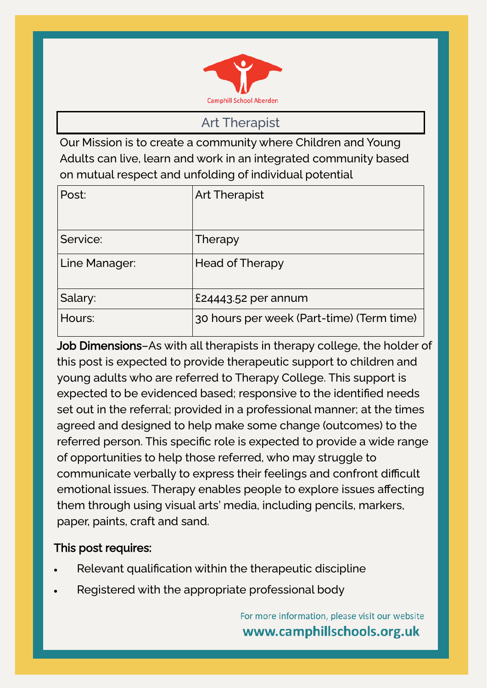

Art Therapist

Our Mission is to create a community where Children and Young Adults can live, learn and work in an integrated community based on mutual respect and unfolding of individual potential

| Post:         | <b>Art Therapist</b>                      |
|---------------|-------------------------------------------|
| Service:      | Therapy                                   |
| Line Manager: | <b>Head of Therapy</b>                    |
| Salary:       | $£24443.52$ per annum                     |
| Hours:        | 30 hours per week (Part-time) (Term time) |

Job Dimensions-As with all therapists in therapy college, the holder of this post is expected to provide therapeutic support to children and young adults who are referred to Therapy College. This support is expected to be evidenced based; responsive to the identified needs set out in the referral; provided in a professional manner; at the times agreed and designed to help make some change (outcomes) to the referred person. This specific role is expected to provide a wide range of opportunities to help those referred, who may struggle to communicate verbally to express their feelings and confront difficult emotional issues. Therapy enables people to explore issues affecting them through using visual arts' media, including pencils, markers, paper, paints, craft and sand.

### This post requires:

- Relevant qualification within the therapeutic discipline
- Registered with the appropriate professional body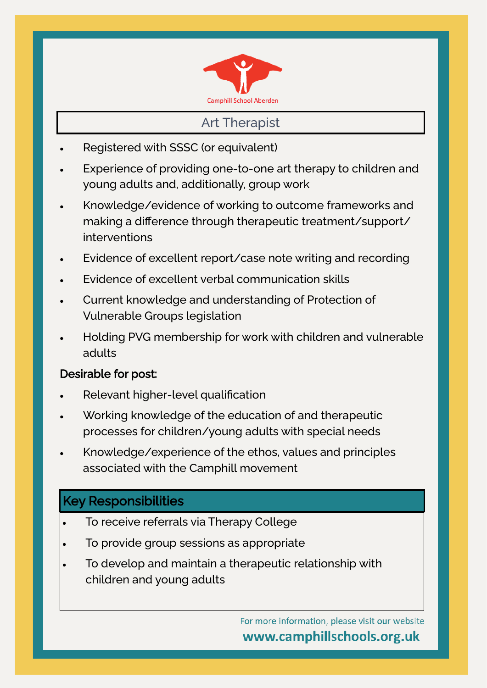

### Art Therapist

- Registered with SSSC (or equivalent)
- Experience of providing one-to-one art therapy to children and young adults and, additionally, group work
- Knowledge/evidence of working to outcome frameworks and making a difference through therapeutic treatment/support/ interventions
- Evidence of excellent report/case note writing and recording
- Evidence of excellent verbal communication skills
- Current knowledge and understanding of Protection of Vulnerable Groups legislation
- Holding PVG membership for work with children and vulnerable adults

### Desirable for post:

- Relevant higher-level qualification
- Working knowledge of the education of and therapeutic processes for children/young adults with special needs
- Knowledge/experience of the ethos, values and principles associated with the Camphill movement

# Key Responsibilities

- To receive referrals via Therapy College
- To provide group sessions as appropriate
- To develop and maintain a therapeutic relationship with children and young adults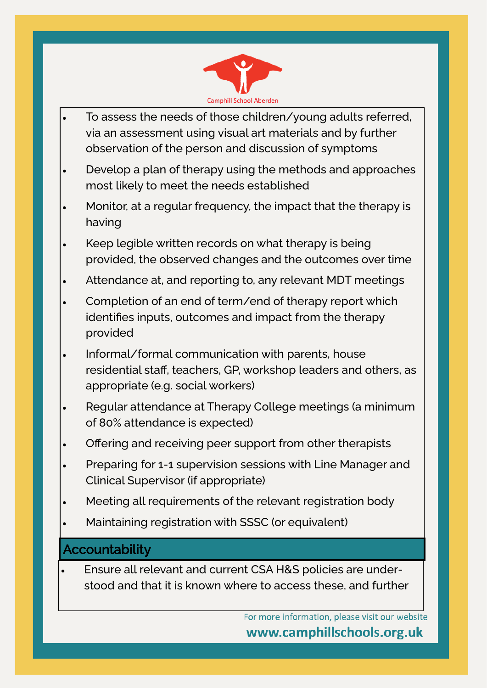

- To assess the needs of those children/young adults referred, via an assessment using visual art materials and by further observation of the person and discussion of symptoms
- Develop a plan of therapy using the methods and approaches most likely to meet the needs established
- Monitor, at a regular frequency, the impact that the therapy is having
- Keep legible written records on what therapy is being provided, the observed changes and the outcomes over time
- Attendance at, and reporting to, any relevant MDT meetings
- Completion of an end of term/end of therapy report which identifies inputs, outcomes and impact from the therapy provided
- Informal/formal communication with parents, house residential staff, teachers, GP, workshop leaders and others, as appropriate (e.g. social workers)
- Regular attendance at Therapy College meetings (a minimum of 80% attendance is expected)
- Offering and receiving peer support from other therapists
- Preparing for 1-1 supervision sessions with Line Manager and Clinical Supervisor (if appropriate)
- Meeting all requirements of the relevant registration body
- Maintaining registration with SSSC (or equivalent)

## **Accountability**

• Ensure all relevant and current CSA H&S policies are understood and that it is known where to access these, and further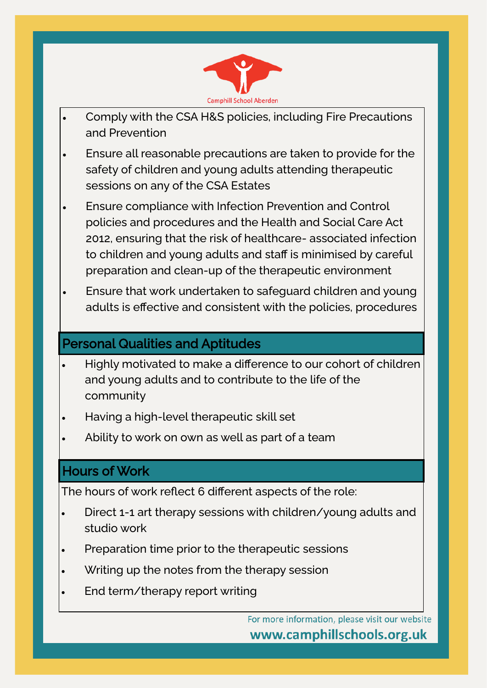

- Comply with the CSA H&S policies, including Fire Precautions and Prevention
- Ensure all reasonable precautions are taken to provide for the safety of children and young adults attending therapeutic sessions on any of the CSA Estates
- Ensure compliance with Infection Prevention and Control policies and procedures and the Health and Social Care Act 2012, ensuring that the risk of healthcare- associated infection to children and young adults and staff is minimised by careful preparation and clean-up of the therapeutic environment
- Ensure that work undertaken to safeguard children and young adults is effective and consistent with the policies, procedures

## Personal Qualities and Aptitudes

- Highly motivated to make a difference to our cohort of children and young adults and to contribute to the life of the community
- Having a high-level therapeutic skill set
- Ability to work on own as well as part of a team

## Hours of Work

The hours of work reflect 6 different aspects of the role:

- Direct 1-1 art therapy sessions with children/young adults and studio work
- Preparation time prior to the therapeutic sessions
- Writing up the notes from the therapy session
- End term/therapy report writing